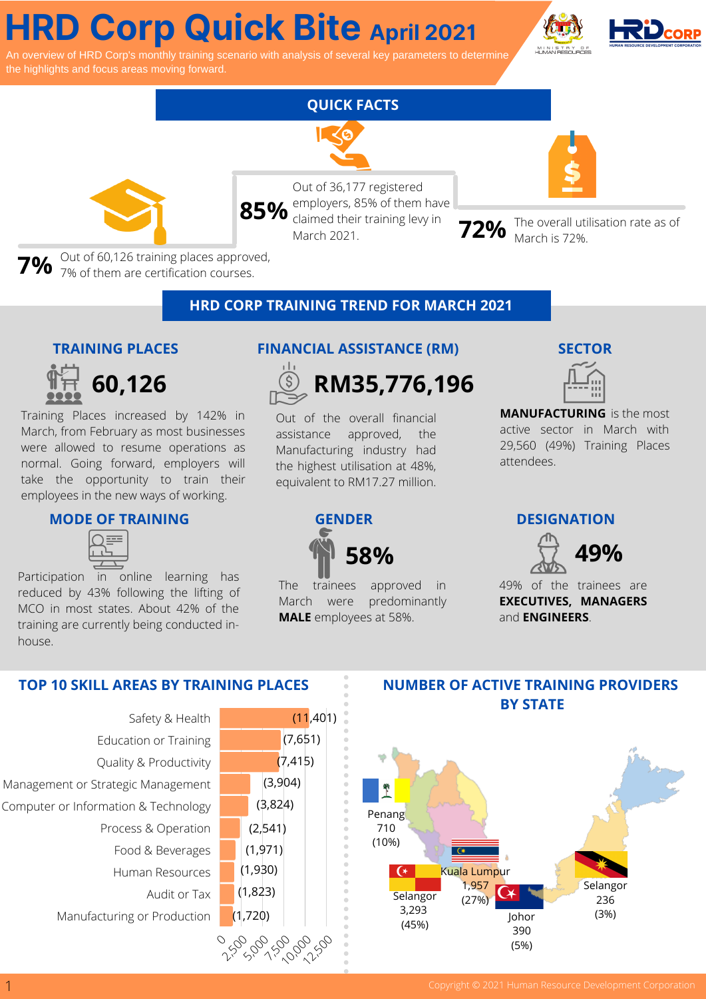# **HRD Corp Quick Bite April <sup>2021</sup>**

riew of HRD Corp's monthly training scenario with analysis of several key parameters to determine the highlights and focus areas moving forward.



## **FUN FACTS QUICK FACTS**



Out of 36,177 registered employers, 85% of them have claimed their training levy in March 2021. 85% <sup>employers, 85% of them have<br>March 2021. March 2021. **72%** March is 72%.</sup>

**7%** Out of 60,126 training places approved,  $7\%$  of them are certification courses.

### **HRD CORP TRAINING TREND FOR MARCH 2021**

#### **TRAINING PLACES**



Training Places increased by 142% in March, from February as most businesses were allowed to resume operations as normal. Going forward, employers will take the opportunity to train their employees in the new ways of working.

#### **MODE OF TRAINING GENDER DESIGNATION**

Participation in online learning has reduced by 43% following the lifting of MCO in most states. About 42% of the training are currently being conducted inhouse.

#### **FINANCIAL ASSISTANCE (RM) SECTOR**



Out of the overall financial assistance approved, the Manufacturing industry had the highest utilisation at 48%, equivalent to RM17.27 million.



 $(11,401)$ 

 $(7, 415)$ 

(7,651)

(3,904)

The trainees approved in March were predominantly **MALE** employees at 58%.



**MANUFACTURING** is the most active sector in March with 29,560 (49%) Training Places attendees.



49% of the trainees are **EXECUTIVES, MANAGERS** and **ENGINEERS**.



#### **TOP 10 SKILL AREAS BY TRAINING PLACES**